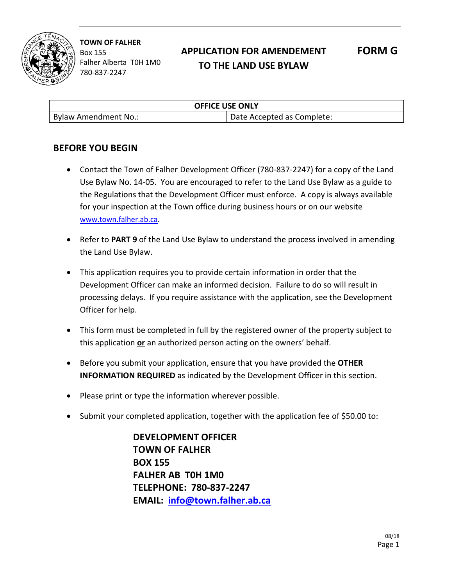

# **APPLICATION FOR AMENDEMENT TO THE LAND USE BYLAW**

**FORM G**

| <b>OFFICE USE ONLY</b> |                            |
|------------------------|----------------------------|
| Bylaw Amendment No.:   | Date Accepted as Complete: |

### **BEFORE YOU BEGIN**

- Contact the Town of Falher Development Officer (780-837-2247) for a copy of the Land Use Bylaw No. 14-05. You are encouraged to refer to the Land Use Bylaw as a guide to the Regulations that the Development Officer must enforce. A copy is always available for your inspection at the Town office during business hours or on our website [www.town.falher.ab.ca](http://www.town.falher.ab.ca/).
- Refer to **PART 9** of the Land Use Bylaw to understand the process involved in amending the Land Use Bylaw.
- This application requires you to provide certain information in order that the Development Officer can make an informed decision. Failure to do so will result in processing delays. If you require assistance with the application, see the Development Officer for help.
- This form must be completed in full by the registered owner of the property subject to this application **or** an authorized person acting on the owners' behalf.
- Before you submit your application, ensure that you have provided the **OTHER INFORMATION REQUIRED** as indicated by the Development Officer in this section.
- Please print or type the information wherever possible.
- Submit your completed application, together with the application fee of \$50.00 to:

**DEVELOPMENT OFFICER TOWN OF FALHER BOX 155 FALHER AB T0H 1M0 TELEPHONE: 780-837-2247 EMAIL: [info@town.falher.ab.ca](mailto:info@town.falher.ab.ca)**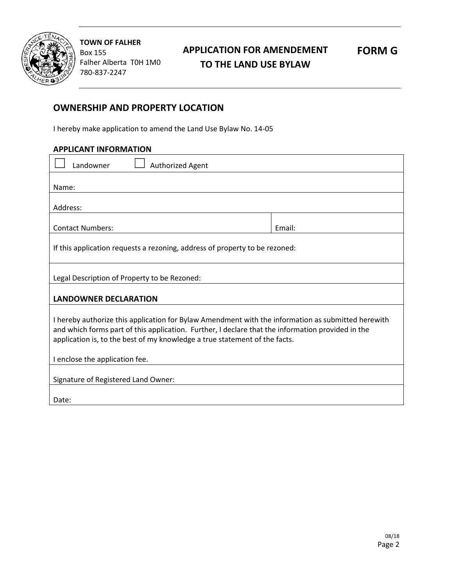

## **APPLICATION FOR AMENDEMENT TO THE LAND USE BYLAW**

**FORM G**

#### **OWNERSHIP AND PROPERTY LOCATION**

I hereby make application to amend the Land Use Bylaw No. 14-05

| <b>APPLICANT INFORMATION</b> |
|------------------------------|
|------------------------------|

| Landowner<br>Authorized Agent                                                                                                                                                                                                                                                                                           |        |  |
|-------------------------------------------------------------------------------------------------------------------------------------------------------------------------------------------------------------------------------------------------------------------------------------------------------------------------|--------|--|
| Name:                                                                                                                                                                                                                                                                                                                   |        |  |
| Address:                                                                                                                                                                                                                                                                                                                |        |  |
| <b>Contact Numbers:</b>                                                                                                                                                                                                                                                                                                 | Email: |  |
| If this application requests a rezoning, address of property to be rezoned:                                                                                                                                                                                                                                             |        |  |
| Legal Description of Property to be Rezoned:                                                                                                                                                                                                                                                                            |        |  |
| <b>LANDOWNER DECLARATION</b>                                                                                                                                                                                                                                                                                            |        |  |
| I hereby authorize this application for Bylaw Amendment with the information as submitted herewith<br>and which forms part of this application. Further, I declare that the information provided in the<br>application is, to the best of my knowledge a true statement of the facts.<br>I enclose the application fee. |        |  |
| Signature of Registered Land Owner:                                                                                                                                                                                                                                                                                     |        |  |
| Date:                                                                                                                                                                                                                                                                                                                   |        |  |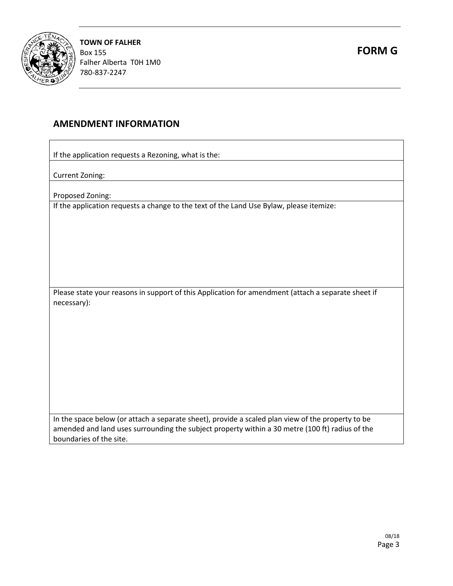

#### **AMENDMENT INFORMATION**

If the application requests a Rezoning, what is the:

Current Zoning:

Proposed Zoning:

If the application requests a change to the text of the Land Use Bylaw, please itemize:

Please state your reasons in support of this Application for amendment (attach a separate sheet if necessary):

In the space below (or attach a separate sheet), provide a scaled plan view of the property to be amended and land uses surrounding the subject property within a 30 metre (100 ft) radius of the boundaries of the site.